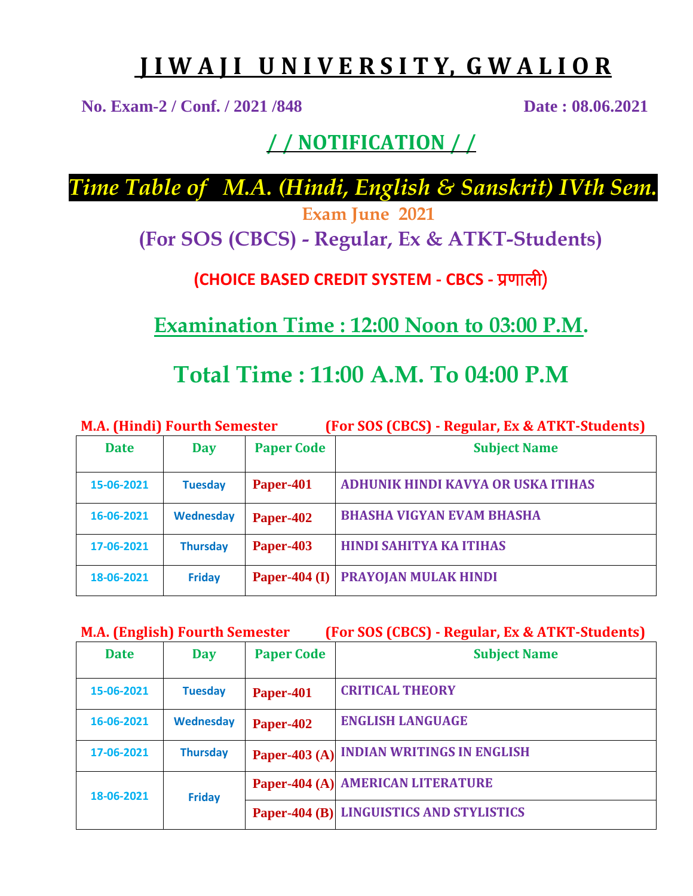# **J I W A J I U N I V E R S I T Y, G W A L I O R**

**No. Exam-2 / Conf. / 2021 /848 Date : 08.06.2021**

### **/ / NOTIFICATION / /**

*Time Table of M.A. (Hindi, English & Sanskrit) IVth Sem.*

**Exam June 2021**

**(For SOS (CBCS) - Regular, Ex & ATKT-Students)**

**(CHOICE BASED CREDIT SYSTEM - CBCS - प्रणाली)** 

**Examination Time : 12:00 Noon to 03:00 P.M.**

## **Total Time : 11:00 A.M. To 04:00 P.M**

| <b>M.A. (Hindi) Fourth Semester</b> |                  |                   | (For SOS (CBCS) - Regular, Ex & ATKT-Students) |
|-------------------------------------|------------------|-------------------|------------------------------------------------|
| <b>Date</b>                         | Day              | <b>Paper Code</b> | <b>Subject Name</b>                            |
| 15-06-2021                          | <b>Tuesday</b>   | Paper-401         | ADHUNIK HINDI KAVYA OR USKA ITIHAS             |
| 16-06-2021                          | <b>Wednesday</b> | Paper-402         | <b>BHASHA VIGYAN EVAM BHASHA</b>               |
| 17-06-2021                          | <b>Thursday</b>  | Paper-403         | <b>HINDI SAHITYA KA ITIHAS</b>                 |
| 18-06-2021                          | <b>Friday</b>    | Paper-404 $(I)$   | PRAYOJAN MULAK HINDI                           |

|  | <b>M.A. (English) Fourth Semester</b> | (For SOS (CBCS) - Regular, Ex & ATKT-Students) |
|--|---------------------------------------|------------------------------------------------|
|--|---------------------------------------|------------------------------------------------|

| <b>Date</b> | <b>Day</b>       | <b>Paper Code</b> | <b>Subject Name</b>                      |
|-------------|------------------|-------------------|------------------------------------------|
| 15-06-2021  | <b>Tuesday</b>   | Paper-401         | <b>CRITICAL THEORY</b>                   |
| 16-06-2021  | <b>Wednesday</b> | Paper-402         | <b>ENGLISH LANGUAGE</b>                  |
| 17-06-2021  | <b>Thursday</b>  |                   | Paper-403 (A) INDIAN WRITINGS IN ENGLISH |
| 18-06-2021  | <b>Friday</b>    |                   | Paper-404 (A) AMERICAN LITERATURE        |
|             |                  |                   | Paper-404 (B) LINGUISTICS AND STYLISTICS |